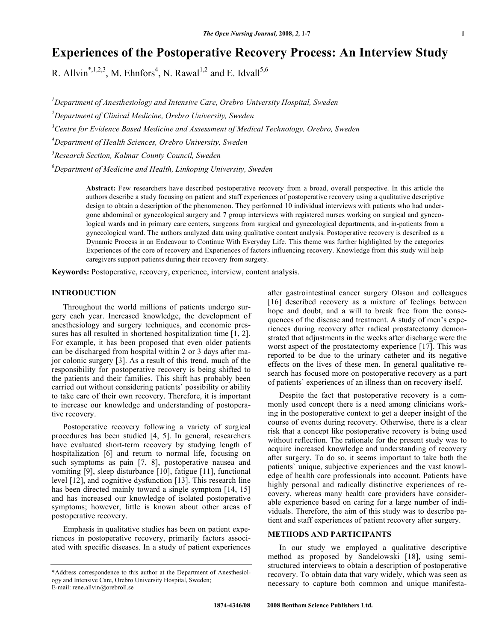# **Experiences of the Postoperative Recovery Process: An Interview Study**

R. Allvin<sup>\*,1,2,3</sup>, M. Ehnfors<sup>4</sup>, N. Rawal<sup>1,2</sup> and E. Idvall<sup>5,6</sup>

*1 Department of Anesthesiology and Intensive Care, Orebro University Hospital, Sweden* 

*2 Department of Clinical Medicine, Orebro University, Sweden* 

*3 Centre for Evidence Based Medicine and Assessment of Medical Technology, Orebro, Sweden* 

*4 Department of Health Sciences, Orebro University, Sweden* 

*5 Research Section, Kalmar County Council, Sweden* 

*6 Department of Medicine and Health, Linkoping University, Sweden* 

**Abstract:** Few researchers have described postoperative recovery from a broad, overall perspective. In this article the authors describe a study focusing on patient and staff experiences of postoperative recovery using a qualitative descriptive design to obtain a description of the phenomenon. They performed 10 individual interviews with patients who had undergone abdominal or gynecological surgery and 7 group interviews with registered nurses working on surgical and gynecological wards and in primary care centers, surgeons from surgical and gynecological departments, and in-patients from a gynecological ward. The authors analyzed data using qualitative content analysis. Postoperative recovery is described as a Dynamic Process in an Endeavour to Continue With Everyday Life. This theme was further highlighted by the categories Experiences of the core of recovery and Experiences of factors influencing recovery. Knowledge from this study will help caregivers support patients during their recovery from surgery.

**Keywords:** Postoperative, recovery, experience, interview, content analysis.

## **INTRODUCTION**

 Throughout the world millions of patients undergo surgery each year. Increased knowledge, the development of anesthesiology and surgery techniques, and economic pressures has all resulted in shortened hospitalization time [1, 2]. For example, it has been proposed that even older patients can be discharged from hospital within 2 or 3 days after major colonic surgery [3]. As a result of this trend, much of the responsibility for postoperative recovery is being shifted to the patients and their families. This shift has probably been carried out without considering patients' possibility or ability to take care of their own recovery. Therefore, it is important to increase our knowledge and understanding of postoperative recovery.

 Postoperative recovery following a variety of surgical procedures has been studied [4, 5]. In general, researchers have evaluated short-term recovery by studying length of hospitalization [6] and return to normal life, focusing on such symptoms as pain [7, 8], postoperative nausea and vomiting [9], sleep disturbance [10], fatigue [11], functional level [12], and cognitive dysfunction [13]. This research line has been directed mainly toward a single symptom [14, 15] and has increased our knowledge of isolated postoperative symptoms; however, little is known about other areas of postoperative recovery.

 Emphasis in qualitative studies has been on patient experiences in postoperative recovery, primarily factors associated with specific diseases. In a study of patient experiences after gastrointestinal cancer surgery Olsson and colleagues [16] described recovery as a mixture of feelings between hope and doubt, and a will to break free from the consequences of the disease and treatment. A study of men's experiences during recovery after radical prostatectomy demonstrated that adjustments in the weeks after discharge were the worst aspect of the prostatectomy experience [17]. This was reported to be due to the urinary catheter and its negative effects on the lives of these men. In general qualitative research has focused more on postoperative recovery as a part of patients` experiences of an illness than on recovery itself.

 Despite the fact that postoperative recovery is a commonly used concept there is a need among clinicians working in the postoperative context to get a deeper insight of the course of events during recovery. Otherwise, there is a clear risk that a concept like postoperative recovery is being used without reflection. The rationale for the present study was to acquire increased knowledge and understanding of recovery after surgery. To do so, it seems important to take both the patients` unique, subjective experiences and the vast knowledge of health care professionals into account. Patients have highly personal and radically distinctive experiences of recovery, whereas many health care providers have considerable experience based on caring for a large number of individuals. Therefore, the aim of this study was to describe patient and staff experiences of patient recovery after surgery.

# **METHODS AND PARTICIPANTS**

 In our study we employed a qualitative descriptive method as proposed by Sandelowski [18], using semistructured interviews to obtain a description of postoperative recovery. To obtain data that vary widely, which was seen as necessary to capture both common and unique manifesta-

<sup>\*</sup>Address correspondence to this author at the Department of Anesthesiology and Intensive Care, Orebro University Hospital, Sweden; E-mail: rene.allvin@orebroll.se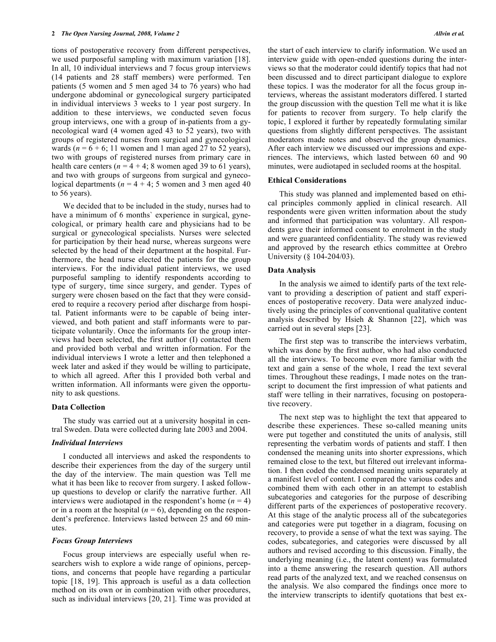tions of postoperative recovery from different perspectives, we used purposeful sampling with maximum variation [18]. In all, 10 individual interviews and 7 focus group interviews (14 patients and 28 staff members) were performed. Ten patients (5 women and 5 men aged 34 to 76 years) who had undergone abdominal or gynecological surgery participated in individual interviews 3 weeks to 1 year post surgery. In addition to these interviews, we conducted seven focus group interviews, one with a group of in-patients from a gynecological ward (4 women aged 43 to 52 years), two with groups of registered nurses from surgical and gynecological wards ( $n = 6 + 6$ ; 11 women and 1 man aged 27 to 52 years), two with groups of registered nurses from primary care in health care centers ( $n = 4 + 4$ ; 8 women aged 39 to 61 years), and two with groups of surgeons from surgical and gynecological departments ( $n = 4 + 4$ ; 5 women and 3 men aged 40 to 56 years).

 We decided that to be included in the study, nurses had to have a minimum of 6 months' experience in surgical, gynecological, or primary health care and physicians had to be surgical or gynecological specialists. Nurses were selected for participation by their head nurse, whereas surgeons were selected by the head of their department at the hospital. Furthermore, the head nurse elected the patients for the group interviews. For the individual patient interviews, we used purposeful sampling to identify respondents according to type of surgery, time since surgery, and gender. Types of surgery were chosen based on the fact that they were considered to require a recovery period after discharge from hospital. Patient informants were to be capable of being interviewed, and both patient and staff informants were to participate voluntarily. Once the informants for the group interviews had been selected, the first author (I) contacted them and provided both verbal and written information. For the individual interviews I wrote a letter and then telephoned a week later and asked if they would be willing to participate, to which all agreed. After this I provided both verbal and written information. All informants were given the opportunity to ask questions.

## **Data Collection**

 The study was carried out at a university hospital in central Sweden. Data were collected during late 2003 and 2004.

## *Individual Interviews*

 I conducted all interviews and asked the respondents to describe their experiences from the day of the surgery until the day of the interview. The main question was Tell me what it has been like to recover from surgery. I asked followup questions to develop or clarify the narrative further. All interviews were audiotaped in the respondent's home  $(n = 4)$ or in a room at the hospital  $(n = 6)$ , depending on the respondent's preference. Interviews lasted between 25 and 60 minutes.

#### *Focus Group Interviews*

 Focus group interviews are especially useful when researchers wish to explore a wide range of opinions, perceptions, and concerns that people have regarding a particular topic [18, 19]. This approach is useful as a data collection method on its own or in combination with other procedures, such as individual interviews [20, 21]. Time was provided at

the start of each interview to clarify information. We used an interview guide with open-ended questions during the interviews so that the moderator could identify topics that had not been discussed and to direct participant dialogue to explore these topics. I was the moderator for all the focus group interviews, whereas the assistant moderators differed. I started the group discussion with the question Tell me what it is like for patients to recover from surgery. To help clarify the topic, I explored it further by repeatedly formulating similar questions from slightly different perspectives. The assistant moderators made notes and observed the group dynamics. After each interview we discussed our impressions and experiences. The interviews, which lasted between 60 and 90 minutes, were audiotaped in secluded rooms at the hospital.

#### **Ethical Considerations**

 This study was planned and implemented based on ethical principles commonly applied in clinical research. All respondents were given written information about the study and informed that participation was voluntary. All respondents gave their informed consent to enrolment in the study and were guaranteed confidentiality. The study was reviewed and approved by the research ethics committee at Orebro University (§ 104-204/03).

#### **Data Analysis**

 In the analysis we aimed to identify parts of the text relevant to providing a description of patient and staff experiences of postoperative recovery. Data were analyzed inductively using the principles of conventional qualitative content analysis described by Hsieh  $& Shannon$  [22], which was carried out in several steps [23].

 The first step was to transcribe the interviews verbatim, which was done by the first author, who had also conducted all the interviews. To become even more familiar with the text and gain a sense of the whole, I read the text several times. Throughout these readings, I made notes on the transcript to document the first impression of what patients and staff were telling in their narratives, focusing on postoperative recovery.

 The next step was to highlight the text that appeared to describe these experiences. These so-called meaning units were put together and constituted the units of analysis, still representing the verbatim words of patients and staff. I then condensed the meaning units into shorter expressions, which remained close to the text, but filtered out irrelevant information. I then coded the condensed meaning units separately at a manifest level of content. I compared the various codes and combined them with each other in an attempt to establish subcategories and categories for the purpose of describing different parts of the experiences of postoperative recovery. At this stage of the analytic process all of the subcategories and categories were put together in a diagram, focusing on recovery, to provide a sense of what the text was saying. The codes, subcategories, and categories were discussed by all authors and revised according to this discussion. Finally, the underlying meaning (i.e., the latent content) was formulated into a theme answering the research question. All authors read parts of the analyzed text, and we reached consensus on the analysis. We also compared the findings once more to the interview transcripts to identify quotations that best ex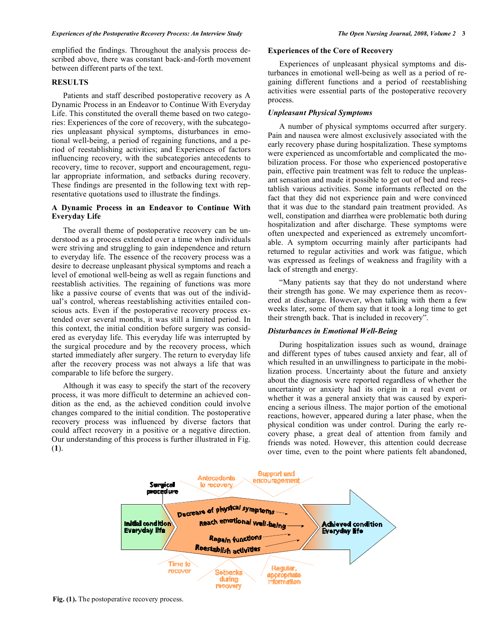emplified the findings. Throughout the analysis process described above, there was constant back-and-forth movement between different parts of the text.

# **RESULTS**

 Patients and staff described postoperative recovery as A Dynamic Process in an Endeavor to Continue With Everyday Life. This constituted the overall theme based on two categories: Experiences of the core of recovery, with the subcategories unpleasant physical symptoms, disturbances in emotional well-being, a period of regaining functions, and a period of reestablishing activities; and Experiences of factors influencing recovery, with the subcategories antecedents to recovery, time to recover, support and encouragement, regular appropriate information, and setbacks during recovery. These findings are presented in the following text with representative quotations used to illustrate the findings.

# **A Dynamic Process in an Endeavor to Continue With Everyday Life**

 The overall theme of postoperative recovery can be understood as a process extended over a time when individuals were striving and struggling to gain independence and return to everyday life. The essence of the recovery process was a desire to decrease unpleasant physical symptoms and reach a level of emotional well-being as well as regain functions and reestablish activities. The regaining of functions was more like a passive course of events that was out of the individual's control, whereas reestablishing activities entailed conscious acts. Even if the postoperative recovery process extended over several months, it was still a limited period. In this context, the initial condition before surgery was considered as everyday life. This everyday life was interrupted by the surgical procedure and by the recovery process, which started immediately after surgery. The return to everyday life after the recovery process was not always a life that was comparable to life before the surgery.

 Although it was easy to specify the start of the recovery process, it was more difficult to determine an achieved condition as the end, as the achieved condition could involve changes compared to the initial condition. The postoperative recovery process was influenced by diverse factors that could affect recovery in a positive or a negative direction. Our understanding of this process is further illustrated in Fig. (**1**).

# **Experiences of the Core of Recovery**

 Experiences of unpleasant physical symptoms and disturbances in emotional well-being as well as a period of regaining different functions and a period of reestablishing activities were essential parts of the postoperative recovery process.

#### *Unpleasant Physical Symptoms*

 A number of physical symptoms occurred after surgery. Pain and nausea were almost exclusively associated with the early recovery phase during hospitalization. These symptoms were experienced as uncomfortable and complicated the mobilization process. For those who experienced postoperative pain, effective pain treatment was felt to reduce the unpleasant sensation and made it possible to get out of bed and reestablish various activities. Some informants reflected on the fact that they did not experience pain and were convinced that it was due to the standard pain treatment provided. As well, constipation and diarrhea were problematic both during hospitalization and after discharge. These symptoms were often unexpected and experienced as extremely uncomfortable. A symptom occurring mainly after participants had returned to regular activities and work was fatigue, which was expressed as feelings of weakness and fragility with a lack of strength and energy.

 "Many patients say that they do not understand where their strength has gone. We may experience them as recovered at discharge. However, when talking with them a few weeks later, some of them say that it took a long time to get their strength back. That is included in recovery".

# *Disturbances in Emotional Well-Being*

 During hospitalization issues such as wound, drainage and different types of tubes caused anxiety and fear, all of which resulted in an unwillingness to participate in the mobilization process. Uncertainty about the future and anxiety about the diagnosis were reported regardless of whether the uncertainty or anxiety had its origin in a real event or whether it was a general anxiety that was caused by experiencing a serious illness. The major portion of the emotional reactions, however, appeared during a later phase, when the physical condition was under control. During the early recovery phase, a great deal of attention from family and friends was noted. However, this attention could decrease over time, even to the point where patients felt abandoned,



**Fig. (1).** The postoperative recovery process.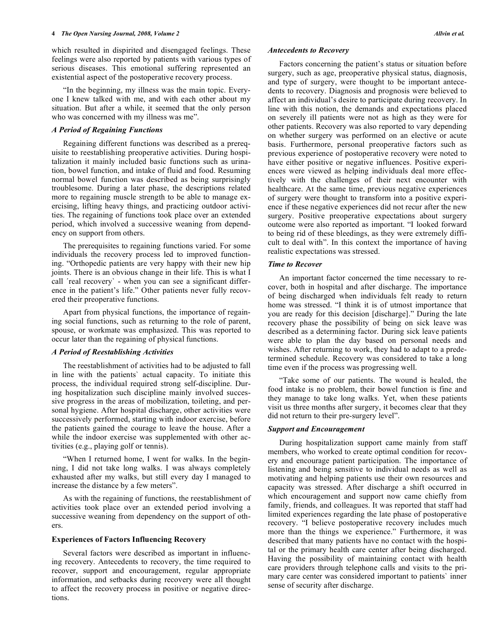which resulted in dispirited and disengaged feelings. These feelings were also reported by patients with various types of serious diseases. This emotional suffering represented an existential aspect of the postoperative recovery process.

 "In the beginning, my illness was the main topic. Everyone I knew talked with me, and with each other about my situation. But after a while, it seemed that the only person who was concerned with my illness was me".

#### *A Period of Regaining Functions*

 Regaining different functions was described as a prerequisite to reestablishing preoperative activities. During hospitalization it mainly included basic functions such as urination, bowel function, and intake of fluid and food. Resuming normal bowel function was described as being surprisingly troublesome. During a later phase, the descriptions related more to regaining muscle strength to be able to manage exercising, lifting heavy things, and practicing outdoor activities. The regaining of functions took place over an extended period, which involved a successive weaning from dependency on support from others.

 The prerequisites to regaining functions varied. For some individuals the recovery process led to improved functioning. "Orthopedic patients are very happy with their new hip joints. There is an obvious change in their life. This is what I call 'real recovery' - when you can see a significant difference in the patient's life." Other patients never fully recovered their preoperative functions.

 Apart from physical functions, the importance of regaining social functions, such as returning to the role of parent, spouse, or workmate was emphasized. This was reported to occur later than the regaining of physical functions.

## *A Period of Reestablishing Activities*

 The reestablishment of activities had to be adjusted to fall in line with the patients` actual capacity. To initiate this process, the individual required strong self-discipline. During hospitalization such discipline mainly involved successive progress in the areas of mobilization, toileting, and personal hygiene. After hospital discharge, other activities were successively performed, starting with indoor exercise, before the patients gained the courage to leave the house. After a while the indoor exercise was supplemented with other activities (e.g., playing golf or tennis).

 "When I returned home, I went for walks. In the beginning, I did not take long walks. I was always completely exhausted after my walks, but still every day I managed to increase the distance by a few meters".

 As with the regaining of functions, the reestablishment of activities took place over an extended period involving a successive weaning from dependency on the support of others.

# **Experiences of Factors Influencing Recovery**

 Several factors were described as important in influencing recovery. Antecedents to recovery, the time required to recover, support and encouragement, regular appropriate information, and setbacks during recovery were all thought to affect the recovery process in positive or negative directions.

#### *Antecedents to Recovery*

 Factors concerning the patient's status or situation before surgery, such as age, preoperative physical status, diagnosis, and type of surgery, were thought to be important antecedents to recovery. Diagnosis and prognosis were believed to affect an individual's desire to participate during recovery. In line with this notion, the demands and expectations placed on severely ill patients were not as high as they were for other patients. Recovery was also reported to vary depending on whether surgery was performed on an elective or acute basis. Furthermore, personal preoperative factors such as previous experience of postoperative recovery were noted to have either positive or negative influences. Positive experiences were viewed as helping individuals deal more effectively with the challenges of their next encounter with healthcare. At the same time, previous negative experiences of surgery were thought to transform into a positive experience if these negative experiences did not recur after the new surgery. Positive preoperative expectations about surgery outcome were also reported as important. "I looked forward to being rid of these bleedings, as they were extremely difficult to deal with". In this context the importance of having realistic expectations was stressed.

#### *Time to Recover*

 An important factor concerned the time necessary to recover, both in hospital and after discharge. The importance of being discharged when individuals felt ready to return home was stressed. "I think it is of utmost importance that you are ready for this decision [discharge]." During the late recovery phase the possibility of being on sick leave was described as a determining factor. During sick leave patients were able to plan the day based on personal needs and wishes. After returning to work, they had to adapt to a predetermined schedule. Recovery was considered to take a long time even if the process was progressing well.

 "Take some of our patients. The wound is healed, the food intake is no problem, their bowel function is fine and they manage to take long walks. Yet, when these patients visit us three months after surgery, it becomes clear that they did not return to their pre-surgery level".

# *Support and Encouragement*

 During hospitalization support came mainly from staff members, who worked to create optimal condition for recovery and encourage patient participation. The importance of listening and being sensitive to individual needs as well as motivating and helping patients use their own resources and capacity was stressed. After discharge a shift occurred in which encouragement and support now came chiefly from family, friends, and colleagues. It was reported that staff had limited experiences regarding the late phase of postoperative recovery. "I believe postoperative recovery includes much more than the things we experience." Furthermore, it was described that many patients have no contact with the hospital or the primary health care center after being discharged. Having the possibility of maintaining contact with health care providers through telephone calls and visits to the primary care center was considered important to patients` inner sense of security after discharge.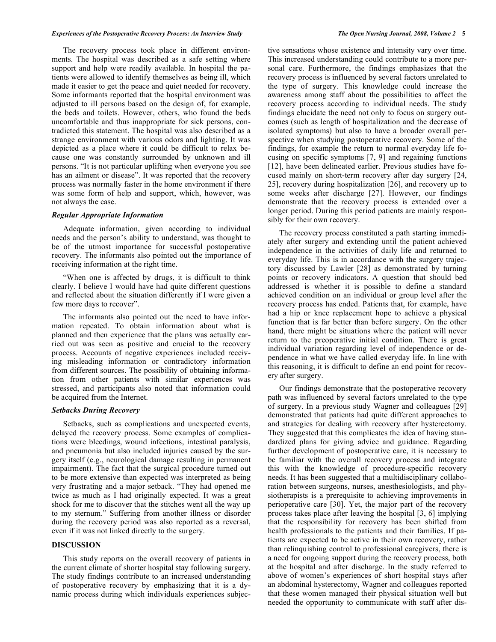The recovery process took place in different environments. The hospital was described as a safe setting where support and help were readily available. In hospital the patients were allowed to identify themselves as being ill, which made it easier to get the peace and quiet needed for recovery. Some informants reported that the hospital environment was adjusted to ill persons based on the design of, for example, the beds and toilets. However, others, who found the beds uncomfortable and thus inappropriate for sick persons, contradicted this statement. The hospital was also described as a strange environment with various odors and lighting. It was depicted as a place where it could be difficult to relax because one was constantly surrounded by unknown and ill persons. "It is not particular uplifting when everyone you see has an ailment or disease". It was reported that the recovery process was normally faster in the home environment if there was some form of help and support, which, however, was not always the case.

## *Regular Appropriate Information*

 Adequate information, given according to individual needs and the person's ability to understand, was thought to be of the utmost importance for successful postoperative recovery. The informants also pointed out the importance of receiving information at the right time.

 "When one is affected by drugs, it is difficult to think clearly. I believe I would have had quite different questions and reflected about the situation differently if I were given a few more days to recover".

 The informants also pointed out the need to have information repeated. To obtain information about what is planned and then experience that the plans was actually carried out was seen as positive and crucial to the recovery process. Accounts of negative experiences included receiving misleading information or contradictory information from different sources. The possibility of obtaining information from other patients with similar experiences was stressed, and participants also noted that information could be acquired from the Internet.

# *Setbacks During Recovery*

 Setbacks, such as complications and unexpected events, delayed the recovery process. Some examples of complications were bleedings, wound infections, intestinal paralysis, and pneumonia but also included injuries caused by the surgery itself (e.g., neurological damage resulting in permanent impairment). The fact that the surgical procedure turned out to be more extensive than expected was interpreted as being very frustrating and a major setback. "They had opened me twice as much as I had originally expected. It was a great shock for me to discover that the stitches went all the way up to my sternum." Suffering from another illness or disorder during the recovery period was also reported as a reversal, even if it was not linked directly to the surgery.

## **DISCUSSION**

 This study reports on the overall recovery of patients in the current climate of shorter hospital stay following surgery. The study findings contribute to an increased understanding of postoperative recovery by emphasizing that it is a dynamic process during which individuals experiences subjective sensations whose existence and intensity vary over time. This increased understanding could contribute to a more personal care. Furthermore, the findings emphasizes that the recovery process is influenced by several factors unrelated to the type of surgery. This knowledge could increase the awareness among staff about the possibilities to affect the recovery process according to individual needs. The study findings elucidate the need not only to focus on surgery outcomes (such as length of hospitalization and the decrease of isolated symptoms) but also to have a broader overall perspective when studying postoperative recovery. Some of the findings, for example the return to normal everyday life focusing on specific symptoms [7, 9] and regaining functions [12], have been delineated earlier. Previous studies have focused mainly on short-term recovery after day surgery [24, 25], recovery during hospitalization [26], and recovery up to some weeks after discharge [27]. However, our findings demonstrate that the recovery process is extended over a longer period. During this period patients are mainly responsibly for their own recovery.

 The recovery process constituted a path starting immediately after surgery and extending until the patient achieved independence in the activities of daily life and returned to everyday life. This is in accordance with the surgery trajectory discussed by Lawler [28] as demonstrated by turning points or recovery indicators. A question that should bed addressed is whether it is possible to define a standard achieved condition on an individual or group level after the recovery process has ended. Patients that, for example, have had a hip or knee replacement hope to achieve a physical function that is far better than before surgery. On the other hand, there might be situations where the patient will never return to the preoperative initial condition. There is great individual variation regarding level of independence or dependence in what we have called everyday life. In line with this reasoning, it is difficult to define an end point for recovery after surgery.

 Our findings demonstrate that the postoperative recovery path was influenced by several factors unrelated to the type of surgery. In a previous study Wagner and colleagues [29] demonstrated that patients had quite different approaches to and strategies for dealing with recovery after hysterectomy. They suggested that this complicates the idea of having standardized plans for giving advice and guidance. Regarding further development of postoperative care, it is necessary to be familiar with the overall recovery process and integrate this with the knowledge of procedure-specific recovery needs. It has been suggested that a multidisciplinary collaboration between surgeons, nurses, anesthesiologists, and physiotherapists is a prerequisite to achieving improvements in perioperative care [30]. Yet, the major part of the recovery process takes place after leaving the hospital [3, 6] implying that the responsibility for recovery has been shifted from health professionals to the patients and their families. If patients are expected to be active in their own recovery, rather than relinquishing control to professional caregivers, there is a need for ongoing support during the recovery process, both at the hospital and after discharge. In the study referred to above of women's experiences of short hospital stays after an abdominal hysterectomy, Wagner and colleagues reported that these women managed their physical situation well but needed the opportunity to communicate with staff after dis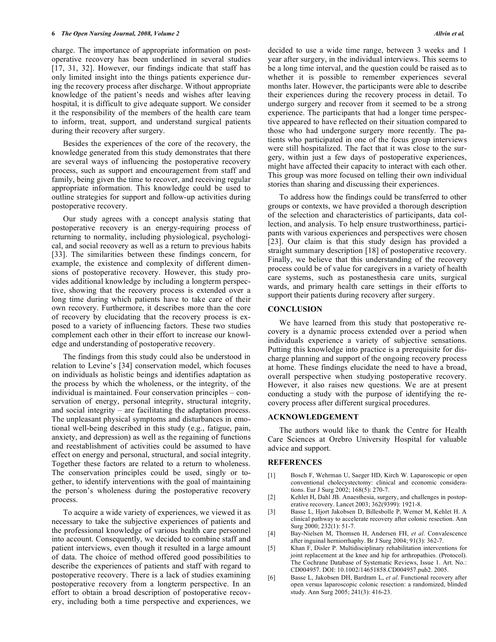charge. The importance of appropriate information on postoperative recovery has been underlined in several studies [17, 31, 32]. However, our findings indicate that staff has only limited insight into the things patients experience during the recovery process after discharge. Without appropriate knowledge of the patient's needs and wishes after leaving hospital, it is difficult to give adequate support. We consider it the responsibility of the members of the health care team to inform, treat, support, and understand surgical patients during their recovery after surgery.

 Besides the experiences of the core of the recovery, the knowledge generated from this study demonstrates that there are several ways of influencing the postoperative recovery process, such as support and encouragement from staff and family, being given the time to recover, and receiving regular appropriate information. This knowledge could be used to outline strategies for support and follow-up activities during postoperative recovery.

 Our study agrees with a concept analysis stating that postoperative recovery is an energy-requiring process of returning to normality, including physiological, psychological, and social recovery as well as a return to previous habits [33]. The similarities between these findings concern, for example, the existence and complexity of different dimensions of postoperative recovery. However, this study provides additional knowledge by including a longterm perspective, showing that the recovery process is extended over a long time during which patients have to take care of their own recovery. Furthermore, it describes more than the core of recovery by elucidating that the recovery process is exposed to a variety of influencing factors. These two studies complement each other in their effort to increase our knowledge and understanding of postoperative recovery.

 The findings from this study could also be understood in relation to Levine's [34] conservation model, which focuses on individuals as holistic beings and identifies adaptation as the process by which the wholeness, or the integrity, of the individual is maintained. Four conservation principles – conservation of energy, personal integrity, structural integrity, and social integrity – are facilitating the adaptation process. The unpleasant physical symptoms and disturbances in emotional well-being described in this study (e.g., fatigue, pain, anxiety, and depression) as well as the regaining of functions and reestablishment of activities could be assumed to have effect on energy and personal, structural, and social integrity. Together these factors are related to a return to wholeness. The conservation principles could be used, singly or together, to identify interventions with the goal of maintaining the person's wholeness during the postoperative recovery process.

 To acquire a wide variety of experiences, we viewed it as necessary to take the subjective experiences of patients and the professional knowledge of various health care personnel into account. Consequently, we decided to combine staff and patient interviews, even though it resulted in a large amount of data. The choice of method offered good possibilities to describe the experiences of patients and staff with regard to postoperative recovery. There is a lack of studies examining postoperative recovery from a longterm perspective. In an effort to obtain a broad description of postoperative recovery, including both a time perspective and experiences, we

decided to use a wide time range, between 3 weeks and 1 year after surgery, in the individual interviews. This seems to be a long time interval, and the question could be raised as to whether it is possible to remember experiences several months later. However, the participants were able to describe their experiences during the recovery process in detail. To undergo surgery and recover from it seemed to be a strong experience. The participants that had a longer time perspective appeared to have reflected on their situation compared to those who had undergone surgery more recently. The patients who participated in one of the focus group interviews were still hospitalized. The fact that it was close to the surgery, within just a few days of postoperative experiences, might have affected their capacity to interact with each other. This group was more focused on telling their own individual stories than sharing and discussing their experiences.

 To address how the findings could be transferred to other groups or contexts, we have provided a thorough description of the selection and characteristics of participants, data collection, and analysis. To help ensure trustworthiness, participants with various experiences and perspectives were chosen [23]. Our claim is that this study design has provided a straight summary description [18] of postoperative recovery. Finally, we believe that this understanding of the recovery process could be of value for caregivers in a variety of health care systems, such as postanesthesia care units, surgical wards, and primary health care settings in their efforts to support their patients during recovery after surgery.

#### **CONCLUSION**

 We have learned from this study that postoperative recovery is a dynamic process extended over a period when individuals experience a variety of subjective sensations. Putting this knowledge into practice is a prerequisite for discharge planning and support of the ongoing recovery process at home. These findings elucidate the need to have a broad, overall perspective when studying postoperative recovery. However, it also raises new questions. We are at present conducting a study with the purpose of identifying the recovery process after different surgical procedures.

#### **ACKNOWLEDGEMENT**

 The authors would like to thank the Centre for Health Care Sciences at Orebro University Hospital for valuable advice and support.

## **REFERENCES**

- [1] Bosch F, Wehrman U, Saeger HD, Kirch W. Laparoscopic or open conventional cholecystectomy: clinical and economic considerations. Eur J Surg 2002; 168(5): 270-7.
- [2] Kehlet H, Dahl JB. Anaesthesia, surgery, and challenges in postoperative recovery. Lancet 2003; 362(9399): 1921-8.
- [3] Basse L, Hjort Jakobsen D, Billesbolle P, Werner M, Kehlet H. A clinical pathway to accelerate recovery after colonic resection. Ann Surg 2000; 232(1): 51-7.
- [4] Bay-Nielsen M, Thomsen H, Andersen FH, *et al*. Convalescence after inguinal herniorrhaphy. Br J Surg 2004; 91(3): 362-7.
- [5] Khan F, Disler P. Multidisciplinary rehabilitation interventions for joint replacement at the knee and hip for arthropathies. (Protocol). The Cochrane Database of Systematic Reviews, Issue 1. Art. No.: CD004957. DOI: 10.1002/14651858.CD004957.pub2. 2005.
- [6] Basse L, Jakobsen DH, Bardram L, *et al*. Functional recovery after open versus laparoscopic colonic resection: a randomized, blinded study. Ann Surg 2005; 241(3): 416-23.